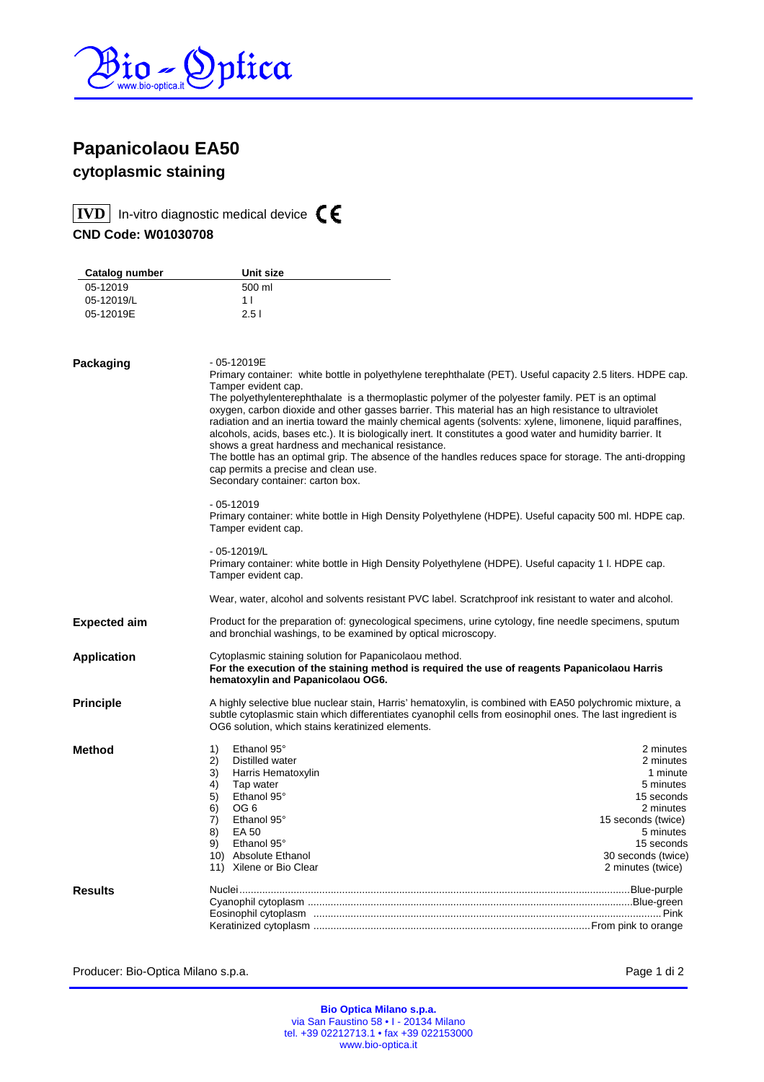

## **Papanicolaou EA50 cytoplasmic staining**

**IVD** In-vitro diagnostic medical device  $\epsilon$ 

**CND Code: W01030708** 

| Catalog number      | Unit size                                                                                                                                                                                                                                                                                                                                                                                                                                                                                     |                                 |  |  |
|---------------------|-----------------------------------------------------------------------------------------------------------------------------------------------------------------------------------------------------------------------------------------------------------------------------------------------------------------------------------------------------------------------------------------------------------------------------------------------------------------------------------------------|---------------------------------|--|--|
| 05-12019            | 500 ml                                                                                                                                                                                                                                                                                                                                                                                                                                                                                        |                                 |  |  |
| 05-12019/L          | 1 <sub>1</sub>                                                                                                                                                                                                                                                                                                                                                                                                                                                                                |                                 |  |  |
| 05-12019E           | 2.51                                                                                                                                                                                                                                                                                                                                                                                                                                                                                          |                                 |  |  |
|                     |                                                                                                                                                                                                                                                                                                                                                                                                                                                                                               |                                 |  |  |
| Packaging           | $-05 - 12019E$                                                                                                                                                                                                                                                                                                                                                                                                                                                                                |                                 |  |  |
|                     | Primary container: white bottle in polyethylene terephthalate (PET). Useful capacity 2.5 liters. HDPE cap.<br>Tamper evident cap.                                                                                                                                                                                                                                                                                                                                                             |                                 |  |  |
|                     | The polyethylenterephthalate is a thermoplastic polymer of the polyester family. PET is an optimal<br>oxygen, carbon dioxide and other gasses barrier. This material has an high resistance to ultraviolet<br>radiation and an inertia toward the mainly chemical agents (solvents: xylene, limonene, liquid paraffines,<br>alcohols, acids, bases etc.). It is biologically inert. It constitutes a good water and humidity barrier. It<br>shows a great hardness and mechanical resistance. |                                 |  |  |
|                     | The bottle has an optimal grip. The absence of the handles reduces space for storage. The anti-dropping<br>cap permits a precise and clean use.<br>Secondary container: carton box.                                                                                                                                                                                                                                                                                                           |                                 |  |  |
|                     | $-05 - 12019$<br>Primary container: white bottle in High Density Polyethylene (HDPE). Useful capacity 500 ml. HDPE cap.<br>Tamper evident cap.                                                                                                                                                                                                                                                                                                                                                |                                 |  |  |
|                     | - 05-12019/L<br>Primary container: white bottle in High Density Polyethylene (HDPE). Useful capacity 1 I. HDPE cap.<br>Tamper evident cap.                                                                                                                                                                                                                                                                                                                                                    |                                 |  |  |
|                     | Wear, water, alcohol and solvents resistant PVC label. Scratchproof ink resistant to water and alcohol.                                                                                                                                                                                                                                                                                                                                                                                       |                                 |  |  |
| <b>Expected aim</b> | Product for the preparation of: gynecological specimens, urine cytology, fine needle specimens, sputum<br>and bronchial washings, to be examined by optical microscopy.                                                                                                                                                                                                                                                                                                                       |                                 |  |  |
| <b>Application</b>  | Cytoplasmic staining solution for Papanicolaou method.<br>For the execution of the staining method is required the use of reagents Papanicolaou Harris<br>hematoxylin and Papanicolaou OG6.                                                                                                                                                                                                                                                                                                   |                                 |  |  |
| <b>Principle</b>    | A highly selective blue nuclear stain, Harris' hematoxylin, is combined with EA50 polychromic mixture, a<br>subtle cytoplasmic stain which differentiates cyanophil cells from eosinophil ones. The last ingredient is<br>OG6 solution, which stains keratinized elements.                                                                                                                                                                                                                    |                                 |  |  |
| <b>Method</b>       | Ethanol 95°<br>1)                                                                                                                                                                                                                                                                                                                                                                                                                                                                             | 2 minutes                       |  |  |
|                     | 2)<br>Distilled water                                                                                                                                                                                                                                                                                                                                                                                                                                                                         | 2 minutes                       |  |  |
|                     | 3)<br>Harris Hematoxylin                                                                                                                                                                                                                                                                                                                                                                                                                                                                      | 1 minute                        |  |  |
|                     | 4)<br>Tap water                                                                                                                                                                                                                                                                                                                                                                                                                                                                               | 5 minutes                       |  |  |
|                     | 5)<br>Ethanol 95°                                                                                                                                                                                                                                                                                                                                                                                                                                                                             | 15 seconds                      |  |  |
|                     | 6)<br>OG <sub>6</sub><br>7)<br>Ethanol 95°                                                                                                                                                                                                                                                                                                                                                                                                                                                    | 2 minutes                       |  |  |
|                     | 8)<br><b>EA 50</b>                                                                                                                                                                                                                                                                                                                                                                                                                                                                            | 15 seconds (twice)<br>5 minutes |  |  |
|                     | 9)<br>Ethanol 95°                                                                                                                                                                                                                                                                                                                                                                                                                                                                             | 15 seconds                      |  |  |
|                     | 10) Absolute Ethanol                                                                                                                                                                                                                                                                                                                                                                                                                                                                          | 30 seconds (twice)              |  |  |
|                     | 11) Xilene or Bio Clear                                                                                                                                                                                                                                                                                                                                                                                                                                                                       | 2 minutes (twice)               |  |  |
| <b>Results</b>      |                                                                                                                                                                                                                                                                                                                                                                                                                                                                                               |                                 |  |  |
|                     |                                                                                                                                                                                                                                                                                                                                                                                                                                                                                               |                                 |  |  |
|                     |                                                                                                                                                                                                                                                                                                                                                                                                                                                                                               |                                 |  |  |
|                     |                                                                                                                                                                                                                                                                                                                                                                                                                                                                                               |                                 |  |  |

Producer: Bio-Optica Milano s.p.a. extending the state of the producer: Bio-Optica Milano s.p.a.